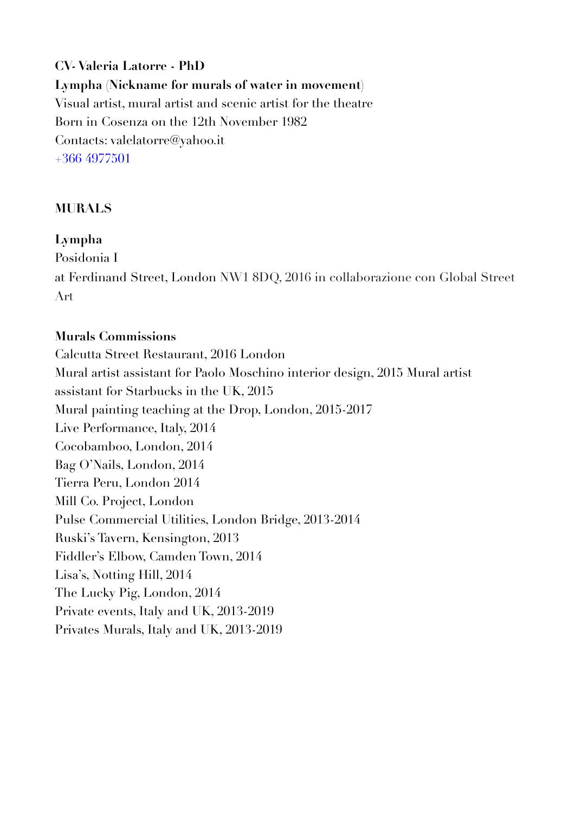**CV- Valeria Latorre - PhD Lympha (Nickname for murals of water in movement)**  Visual artist, mural artist and scenic artist for the theatre Born in Cosenza on the 12th November 1982 Contacts: valelatorre@yahoo.it +366 4977501

## **MURALS**

### **Lympha**

Posidonia I at Ferdinand Street, London NW1 8DQ, 2016 in collaborazione con Global Street Art

#### **Murals Commissions**

Calcutta Street Restaurant, 2016 London Mural artist assistant for Paolo Moschino interior design, 2015 Mural artist assistant for Starbucks in the UK, 2015 Mural painting teaching at the Drop, London, 2015-2017 Live Performance, Italy, 2014 Cocobamboo, London, 2014 Bag O'Nails, London, 2014 Tierra Peru, London 2014 Mill Co. Project, London Pulse Commercial Utilities, London Bridge, 2013-2014 Ruski's Tavern, Kensington, 2013 Fiddler's Elbow, Camden Town, 2014 Lisa's, Notting Hill, 2014 The Lucky Pig, London, 2014 Private events, Italy and UK, 2013-2019 Privates Murals, Italy and UK, 2013-2019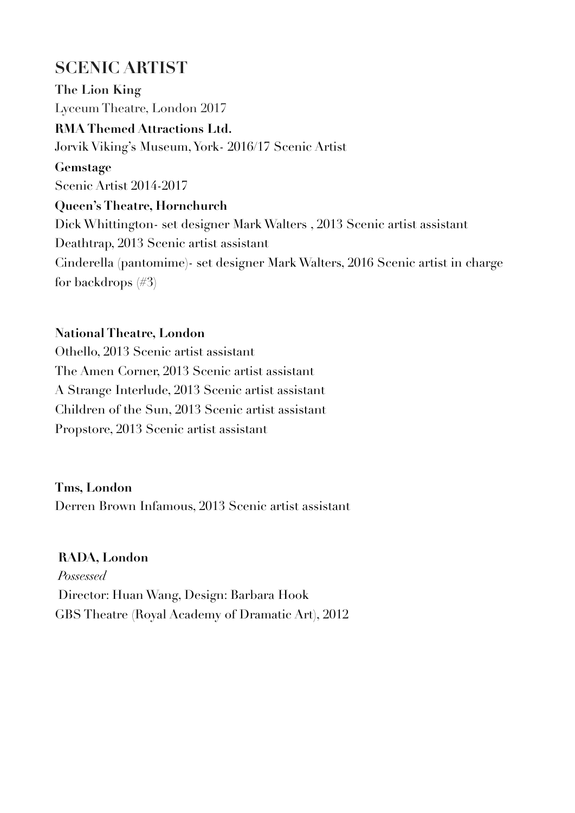# **SCENIC ARTIST**

**The Lion King**  Lyceum Theatre, London 2017 **RMA Themed Attractions Ltd.**  Jorvik Viking's Museum, York- 2016/17 Scenic Artist **Gemstage**  Scenic Artist 2014-2017 **Queen's Theatre, Hornchurch**  Dick Whittington- set designer Mark Walters , 2013 Scenic artist assistant Deathtrap, 2013 Scenic artist assistant Cinderella (pantomime)- set designer Mark Walters, 2016 Scenic artist in charge for backdrops (#3)

### **National Theatre, London**

Othello, 2013 Scenic artist assistant The Amen Corner, 2013 Scenic artist assistant A Strange Interlude, 2013 Scenic artist assistant Children of the Sun, 2013 Scenic artist assistant Propstore, 2013 Scenic artist assistant

**Tms, London**

Derren Brown Infamous, 2013 Scenic artist assistant

#### **RADA, London**

*Possessed* Director: Huan Wang, Design: Barbara Hook GBS Theatre (Royal Academy of Dramatic Art), 2012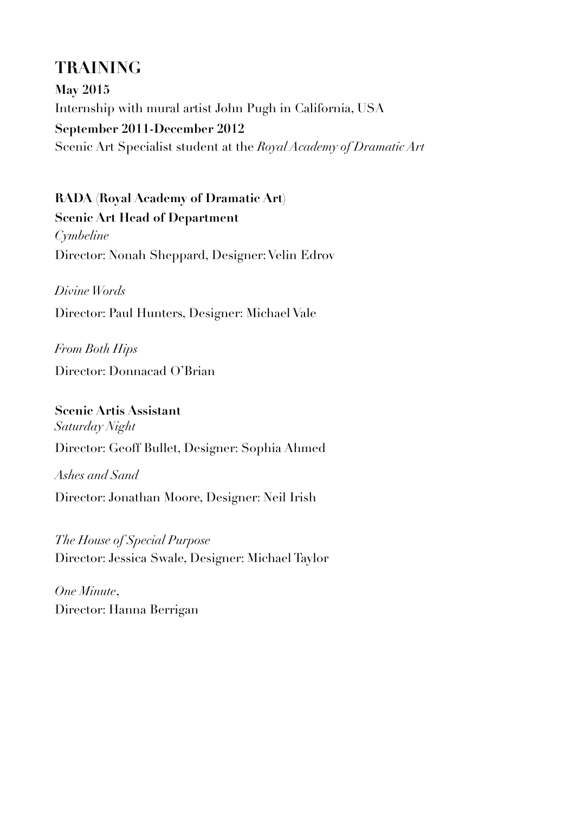# **TRAINING**

**May 2015**  Internship with mural artist John Pugh in California, USA **September 2011-December 2012** Scenic Art Specialist student at the *Royal Academy of Dramatic Art* 

**RADA (Royal Academy of Dramatic Art) Scenic Art Head of Department**  *Cymbeline* Director: Nonah Sheppard, Designer: Velin Edrov

*Divine Words* Director: Paul Hunters, Designer: Michael Vale

*From Both Hips* Director: Donnacad O'Brian

**Scenic Artis Assistant**  *Saturday Night*  Director: Geoff Bullet, Designer: Sophia Ahmed

*Ashes and Sand*  Director: Jonathan Moore, Designer: Neil Irish

*The House of Special Purpose* Director: Jessica Swale, Designer: Michael Taylor

*One Minute*, Director: Hanna Berrigan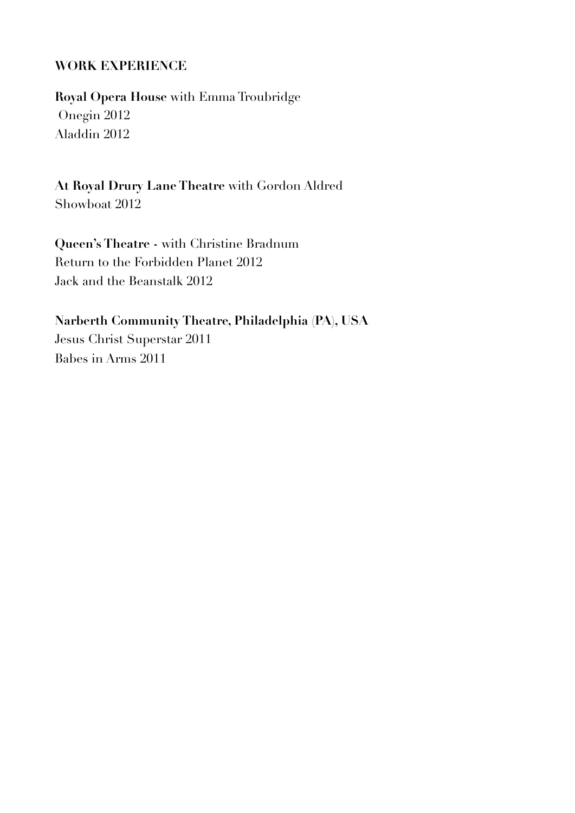#### **WORK EXPERIENCE**

**Royal Opera House** with Emma Troubridge Onegin 2012 Aladdin 2012

**At Royal Drury Lane Theatre** with Gordon Aldred Showboat 2012

**Queen's Theatre -** with Christine Bradnum Return to the Forbidden Planet 2012 Jack and the Beanstalk 2012

**Narberth Community Theatre, Philadelphia (PA), USA**  Jesus Christ Superstar 2011 Babes in Arms 2011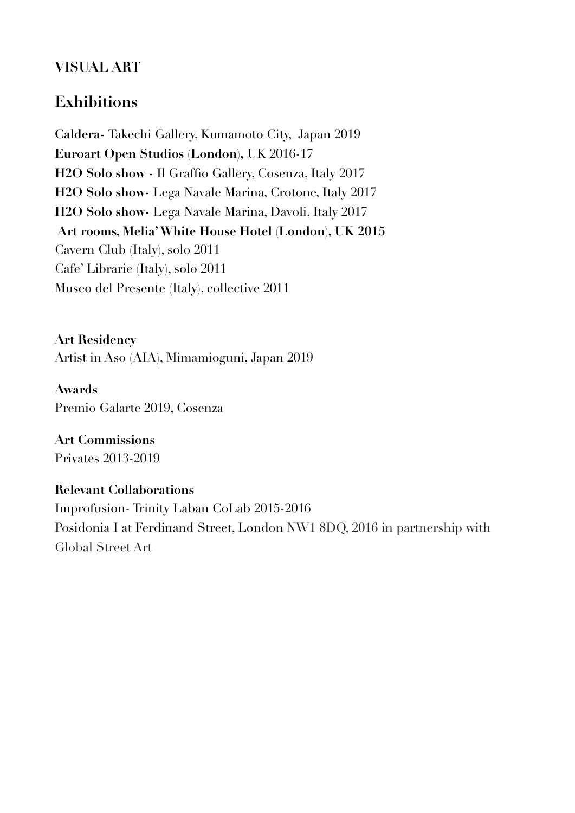## **VISUAL ART**

# **Exhibitions**

**Caldera-** Takechi Gallery, Kumamoto City, Japan 2019 **Euroart Open Studios (London),** UK 2016-17 **H2O Solo show -** Il Graffio Gallery, Cosenza, Italy 2017 **H2O Solo show-** Lega Navale Marina, Crotone, Italy 2017 **H2O Solo show-** Lega Navale Marina, Davoli, Italy 2017  **Art rooms, Melia' White House Hotel (London), UK 2015**  Cavern Club (Italy), solo 2011 Cafe' Librarie (Italy), solo 2011 Museo del Presente (Italy), collective 2011

**Art Residency**  Artist in Aso (AIA), Mimamioguni, Japan 2019

**Awards**  Premio Galarte 2019, Cosenza

**Art Commissions**  Privates 2013-2019

**Relevant Collaborations**  Improfusion- Trinity Laban CoLab 2015-2016 Posidonia I at Ferdinand Street, London NW1 8DQ, 2016 in partnership with Global Street Art